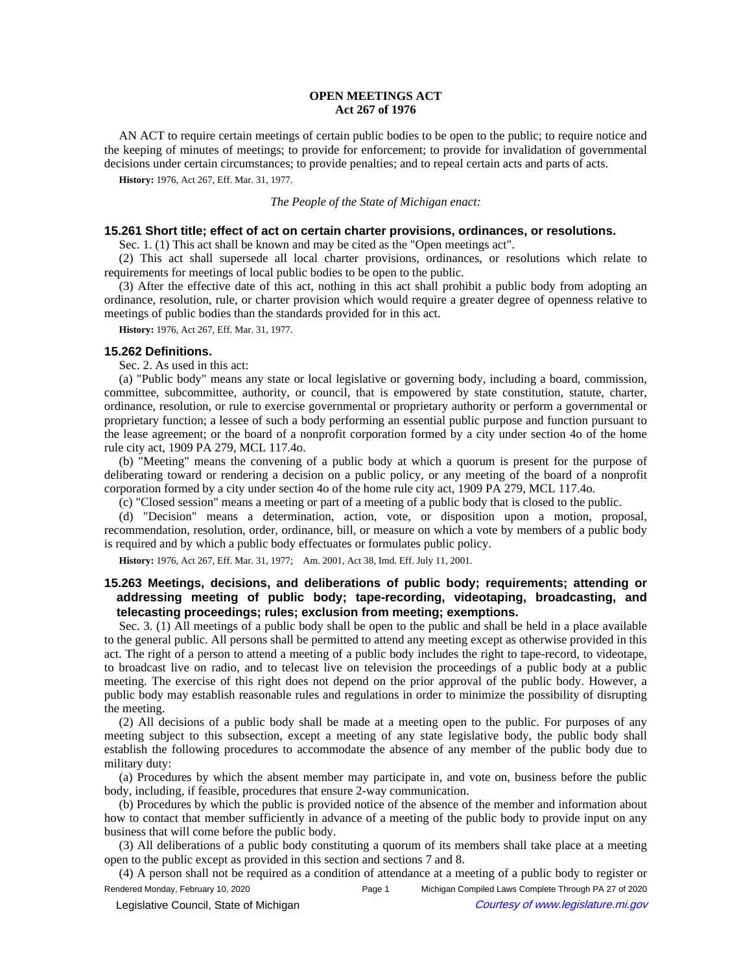# **OPEN MEETINGS ACT Act 267 of 1976**

AN ACT to require certain meetings of certain public bodies to be open to the public; to require notice and the keeping of minutes of meetings; to provide for enforcement; to provide for invalidation of governmental decisions under certain circumstances; to provide penalties; and to repeal certain acts and parts of acts.

**History:** 1976, Act 267, Eff. Mar. 31, 1977.

#### *The People of the State of Michigan enact:*

## **15.261 Short title; effect of act on certain charter provisions, ordinances, or resolutions.**

Sec. 1. (1) This act shall be known and may be cited as the "Open meetings act".

(2) This act shall supersede all local charter provisions, ordinances, or resolutions which relate to requirements for meetings of local public bodies to be open to the public.

(3) After the effective date of this act, nothing in this act shall prohibit a public body from adopting an ordinance, resolution, rule, or charter provision which would require a greater degree of openness relative to meetings of public bodies than the standards provided for in this act.

**History:** 1976, Act 267, Eff. Mar. 31, 1977.

## **15.262 Definitions.**

Sec. 2. As used in this act:

(a) "Public body" means any state or local legislative or governing body, including a board, commission, committee, subcommittee, authority, or council, that is empowered by state constitution, statute, charter, ordinance, resolution, or rule to exercise governmental or proprietary authority or perform a governmental or proprietary function; a lessee of such a body performing an essential public purpose and function pursuant to the lease agreement; or the board of a nonprofit corporation formed by a city under section 4o of the home rule city act, 1909 PA 279, MCL 117.4o.

(b) "Meeting" means the convening of a public body at which a quorum is present for the purpose of deliberating toward or rendering a decision on a public policy, or any meeting of the board of a nonprofit corporation formed by a city under section 4o of the home rule city act, 1909 PA 279, MCL 117.4o.

(c) "Closed session" means a meeting or part of a meeting of a public body that is closed to the public.

(d) "Decision" means a determination, action, vote, or disposition upon a motion, proposal, recommendation, resolution, order, ordinance, bill, or measure on which a vote by members of a public body is required and by which a public body effectuates or formulates public policy.

History: 1976, Act 267, Eff. Mar. 31, 1977;-- Am. 2001, Act 38, Imd. Eff. July 11, 2001.

# **15.263 Meetings, decisions, and deliberations of public body; requirements; attending or addressing meeting of public body; tape-recording, videotaping, broadcasting, and telecasting proceedings; rules; exclusion from meeting; exemptions.**

Sec. 3. (1) All meetings of a public body shall be open to the public and shall be held in a place available to the general public. All persons shall be permitted to attend any meeting except as otherwise provided in this act. The right of a person to attend a meeting of a public body includes the right to tape-record, to videotape, to broadcast live on radio, and to telecast live on television the proceedings of a public body at a public meeting. The exercise of this right does not depend on the prior approval of the public body. However, a public body may establish reasonable rules and regulations in order to minimize the possibility of disrupting the meeting.

(2) All decisions of a public body shall be made at a meeting open to the public. For purposes of any meeting subject to this subsection, except a meeting of any state legislative body, the public body shall establish the following procedures to accommodate the absence of any member of the public body due to military duty:

(a) Procedures by which the absent member may participate in, and vote on, business before the public body, including, if feasible, procedures that ensure 2-way communication.

(b) Procedures by which the public is provided notice of the absence of the member and information about how to contact that member sufficiently in advance of a meeting of the public body to provide input on any business that will come before the public body.

(3) All deliberations of a public body constituting a quorum of its members shall take place at a meeting open to the public except as provided in this section and sections 7 and 8.

(4) A person shall not be required as a condition of attendance at a meeting of a public body to register or Rendered Monday, February 10, 2020 Page 1 Michigan Compiled Laws Complete Through PA 27 of 2020 Legislative Council, State of Michigan Courtesy of www.legislature.mi.gov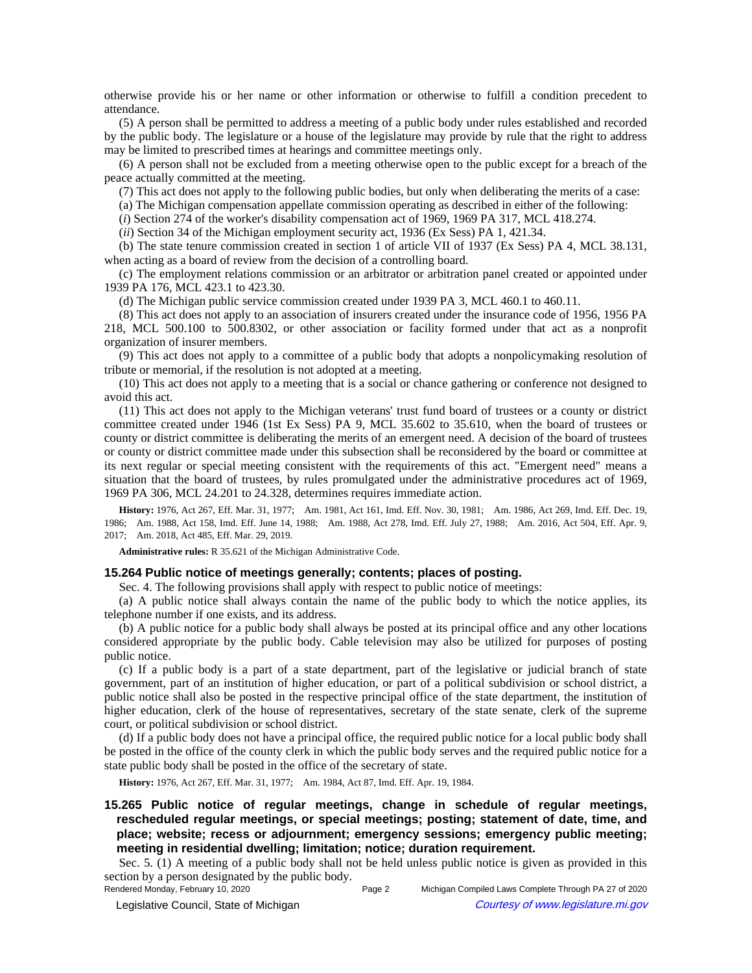otherwise provide his or her name or other information or otherwise to fulfill a condition precedent to attendance.

(5) A person shall be permitted to address a meeting of a public body under rules established and recorded by the public body. The legislature or a house of the legislature may provide by rule that the right to address may be limited to prescribed times at hearings and committee meetings only.

(6) A person shall not be excluded from a meeting otherwise open to the public except for a breach of the peace actually committed at the meeting.

(7) This act does not apply to the following public bodies, but only when deliberating the merits of a case:

(a) The Michigan compensation appellate commission operating as described in either of the following:

(*i*) Section 274 of the worker's disability compensation act of 1969, 1969 PA 317, MCL 418.274.

(*ii*) Section 34 of the Michigan employment security act, 1936 (Ex Sess) PA 1, 421.34.

(b) The state tenure commission created in section 1 of article VII of 1937 (Ex Sess) PA 4, MCL 38.131, when acting as a board of review from the decision of a controlling board.

(c) The employment relations commission or an arbitrator or arbitration panel created or appointed under 1939 PA 176, MCL 423.1 to 423.30.

(d) The Michigan public service commission created under 1939 PA 3, MCL 460.1 to 460.11.

(8) This act does not apply to an association of insurers created under the insurance code of 1956, 1956 PA

218, MCL 500.100 to 500.8302, or other association or facility formed under that act as a nonprofit organization of insurer members.

(9) This act does not apply to a committee of a public body that adopts a nonpolicymaking resolution of tribute or memorial, if the resolution is not adopted at a meeting.

(10) This act does not apply to a meeting that is a social or chance gathering or conference not designed to avoid this act.

(11) This act does not apply to the Michigan veterans' trust fund board of trustees or a county or district committee created under 1946 (1st Ex Sess) PA 9, MCL 35.602 to 35.610, when the board of trustees or county or district committee is deliberating the merits of an emergent need. A decision of the board of trustees or county or district committee made under this subsection shall be reconsidered by the board or committee at its next regular or special meeting consistent with the requirements of this act. "Emergent need" means a situation that the board of trustees, by rules promulgated under the administrative procedures act of 1969, 1969 PA 306, MCL 24.201 to 24.328, determines requires immediate action.

History: 1976, Act 267, Eff. Mar. 31, 1977;--Am. 1981, Act 161, Imd. Eff. Nov. 30, 1981;--Am. 1986, Act 269, Imd. Eff. Dec. 19, 1986;--Am. 1988, Act 158, Imd. Eff. June 14, 1988;--Am. 1988, Act 278, Imd. Eff. July 27, 1988;--Am. 2016, Act 504, Eff. Apr. 9, 2017; Am. 2018, Act 485, Eff. Mar. 29, 2019.

**Administrative rules:** R 35.621 of the Michigan Administrative Code.

## **15.264 Public notice of meetings generally; contents; places of posting.**

Sec. 4. The following provisions shall apply with respect to public notice of meetings:

(a) A public notice shall always contain the name of the public body to which the notice applies, its telephone number if one exists, and its address.

(b) A public notice for a public body shall always be posted at its principal office and any other locations considered appropriate by the public body. Cable television may also be utilized for purposes of posting public notice.

(c) If a public body is a part of a state department, part of the legislative or judicial branch of state government, part of an institution of higher education, or part of a political subdivision or school district, a public notice shall also be posted in the respective principal office of the state department, the institution of higher education, clerk of the house of representatives, secretary of the state senate, clerk of the supreme court, or political subdivision or school district.

(d) If a public body does not have a principal office, the required public notice for a local public body shall be posted in the office of the county clerk in which the public body serves and the required public notice for a state public body shall be posted in the office of the secretary of state.

History: 1976, Act 267, Eff. Mar. 31, 1977;-- Am. 1984, Act 87, Imd. Eff. Apr. 19, 1984.

**15.265 Public notice of regular meetings, change in schedule of regular meetings, rescheduled regular meetings, or special meetings; posting; statement of date, time, and place; website; recess or adjournment; emergency sessions; emergency public meeting; meeting in residential dwelling; limitation; notice; duration requirement.**

Sec. 5. (1) A meeting of a public body shall not be held unless public notice is given as provided in this section by a person designated by the public body.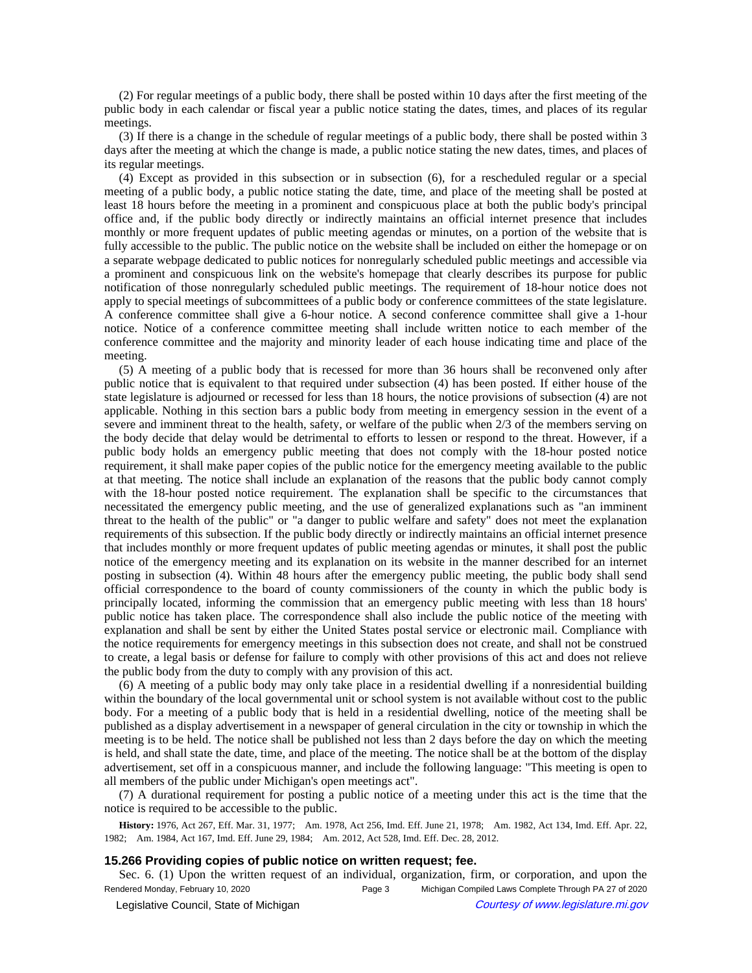(2) For regular meetings of a public body, there shall be posted within 10 days after the first meeting of the public body in each calendar or fiscal year a public notice stating the dates, times, and places of its regular meetings.

(3) If there is a change in the schedule of regular meetings of a public body, there shall be posted within 3 days after the meeting at which the change is made, a public notice stating the new dates, times, and places of its regular meetings.

(4) Except as provided in this subsection or in subsection (6), for a rescheduled regular or a special meeting of a public body, a public notice stating the date, time, and place of the meeting shall be posted at least 18 hours before the meeting in a prominent and conspicuous place at both the public body's principal office and, if the public body directly or indirectly maintains an official internet presence that includes monthly or more frequent updates of public meeting agendas or minutes, on a portion of the website that is fully accessible to the public. The public notice on the website shall be included on either the homepage or on a separate webpage dedicated to public notices for nonregularly scheduled public meetings and accessible via a prominent and conspicuous link on the website's homepage that clearly describes its purpose for public notification of those nonregularly scheduled public meetings. The requirement of 18-hour notice does not apply to special meetings of subcommittees of a public body or conference committees of the state legislature. A conference committee shall give a 6-hour notice. A second conference committee shall give a 1-hour notice. Notice of a conference committee meeting shall include written notice to each member of the conference committee and the majority and minority leader of each house indicating time and place of the meeting.

(5) A meeting of a public body that is recessed for more than 36 hours shall be reconvened only after public notice that is equivalent to that required under subsection (4) has been posted. If either house of the state legislature is adjourned or recessed for less than 18 hours, the notice provisions of subsection (4) are not applicable. Nothing in this section bars a public body from meeting in emergency session in the event of a severe and imminent threat to the health, safety, or welfare of the public when 2/3 of the members serving on the body decide that delay would be detrimental to efforts to lessen or respond to the threat. However, if a public body holds an emergency public meeting that does not comply with the 18-hour posted notice requirement, it shall make paper copies of the public notice for the emergency meeting available to the public at that meeting. The notice shall include an explanation of the reasons that the public body cannot comply with the 18-hour posted notice requirement. The explanation shall be specific to the circumstances that necessitated the emergency public meeting, and the use of generalized explanations such as "an imminent threat to the health of the public" or "a danger to public welfare and safety" does not meet the explanation requirements of this subsection. If the public body directly or indirectly maintains an official internet presence that includes monthly or more frequent updates of public meeting agendas or minutes, it shall post the public notice of the emergency meeting and its explanation on its website in the manner described for an internet posting in subsection (4). Within 48 hours after the emergency public meeting, the public body shall send official correspondence to the board of county commissioners of the county in which the public body is principally located, informing the commission that an emergency public meeting with less than 18 hours' public notice has taken place. The correspondence shall also include the public notice of the meeting with explanation and shall be sent by either the United States postal service or electronic mail. Compliance with the notice requirements for emergency meetings in this subsection does not create, and shall not be construed to create, a legal basis or defense for failure to comply with other provisions of this act and does not relieve the public body from the duty to comply with any provision of this act.

(6) A meeting of a public body may only take place in a residential dwelling if a nonresidential building within the boundary of the local governmental unit or school system is not available without cost to the public body. For a meeting of a public body that is held in a residential dwelling, notice of the meeting shall be published as a display advertisement in a newspaper of general circulation in the city or township in which the meeting is to be held. The notice shall be published not less than 2 days before the day on which the meeting is held, and shall state the date, time, and place of the meeting. The notice shall be at the bottom of the display advertisement, set off in a conspicuous manner, and include the following language: "This meeting is open to all members of the public under Michigan's open meetings act".

(7) A durational requirement for posting a public notice of a meeting under this act is the time that the notice is required to be accessible to the public.

History: 1976, Act 267, Eff. Mar. 31, 1977;--- Am. 1978, Act 256, Imd. Eff. June 21, 1978;-- Am. 1982, Act 134, Imd. Eff. Apr. 22, 1982; Am. 1984, Act 167, Imd. Eff. June 29, 1984; Am. 2012, Act 528, Imd. Eff. Dec. 28, 2012.

## **15.266 Providing copies of public notice on written request; fee.**

Sec. 6. (1) Upon the written request of an individual, organization, firm, or corporation, and upon the Rendered Monday, February 10, 2020 Page 3 Michigan Compiled Laws Complete Through PA 27 of 2020 © Legislative Council, State of Michigan Council Courtesy of www.legislature.mi.gov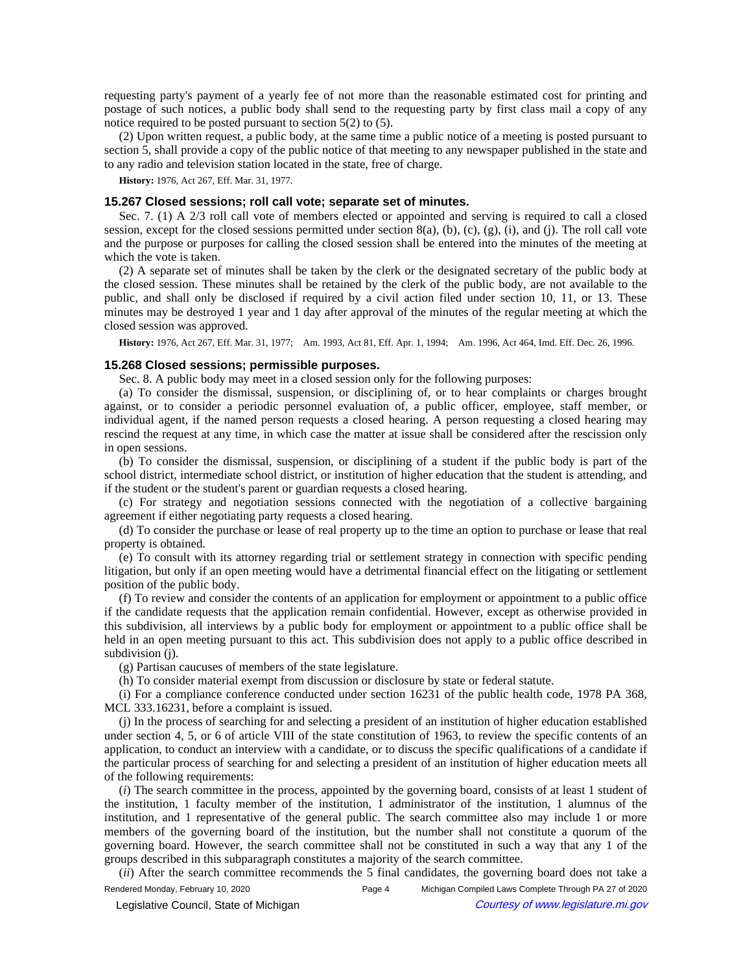requesting party's payment of a yearly fee of not more than the reasonable estimated cost for printing and postage of such notices, a public body shall send to the requesting party by first class mail a copy of any notice required to be posted pursuant to section 5(2) to (5).

(2) Upon written request, a public body, at the same time a public notice of a meeting is posted pursuant to section 5, shall provide a copy of the public notice of that meeting to any newspaper published in the state and to any radio and television station located in the state, free of charge.

**History:** 1976, Act 267, Eff. Mar. 31, 1977.

## **15.267 Closed sessions; roll call vote; separate set of minutes.**

Sec. 7. (1) A 2/3 roll call vote of members elected or appointed and serving is required to call a closed session, except for the closed sessions permitted under section  $8(a)$ ,  $(b)$ ,  $(c)$ ,  $(g)$ ,  $(i)$ , and  $(i)$ . The roll call vote and the purpose or purposes for calling the closed session shall be entered into the minutes of the meeting at which the vote is taken.

(2) A separate set of minutes shall be taken by the clerk or the designated secretary of the public body at the closed session. These minutes shall be retained by the clerk of the public body, are not available to the public, and shall only be disclosed if required by a civil action filed under section 10, 11, or 13. These minutes may be destroyed 1 year and 1 day after approval of the minutes of the regular meeting at which the closed session was approved.

History: 1976, Act 267, Eff. Mar. 31, 1977;--Am. 1993, Act 81, Eff. Apr. 1, 1994;--Am. 1996, Act 464, Imd. Eff. Dec. 26, 1996.

### **15.268 Closed sessions; permissible purposes.**

Sec. 8. A public body may meet in a closed session only for the following purposes:

(a) To consider the dismissal, suspension, or disciplining of, or to hear complaints or charges brought against, or to consider a periodic personnel evaluation of, a public officer, employee, staff member, or individual agent, if the named person requests a closed hearing. A person requesting a closed hearing may rescind the request at any time, in which case the matter at issue shall be considered after the rescission only in open sessions.

(b) To consider the dismissal, suspension, or disciplining of a student if the public body is part of the school district, intermediate school district, or institution of higher education that the student is attending, and if the student or the student's parent or guardian requests a closed hearing.

(c) For strategy and negotiation sessions connected with the negotiation of a collective bargaining agreement if either negotiating party requests a closed hearing.

(d) To consider the purchase or lease of real property up to the time an option to purchase or lease that real property is obtained.

(e) To consult with its attorney regarding trial or settlement strategy in connection with specific pending litigation, but only if an open meeting would have a detrimental financial effect on the litigating or settlement position of the public body.

(f) To review and consider the contents of an application for employment or appointment to a public office if the candidate requests that the application remain confidential. However, except as otherwise provided in this subdivision, all interviews by a public body for employment or appointment to a public office shall be held in an open meeting pursuant to this act. This subdivision does not apply to a public office described in subdivision (j).

(g) Partisan caucuses of members of the state legislature.

(h) To consider material exempt from discussion or disclosure by state or federal statute.

(i) For a compliance conference conducted under section 16231 of the public health code, 1978 PA 368, MCL 333.16231, before a complaint is issued.

(j) In the process of searching for and selecting a president of an institution of higher education established under section 4, 5, or 6 of article VIII of the state constitution of 1963, to review the specific contents of an application, to conduct an interview with a candidate, or to discuss the specific qualifications of a candidate if the particular process of searching for and selecting a president of an institution of higher education meets all of the following requirements:

(*i*) The search committee in the process, appointed by the governing board, consists of at least 1 student of the institution, 1 faculty member of the institution, 1 administrator of the institution, 1 alumnus of the institution, and 1 representative of the general public. The search committee also may include 1 or more members of the governing board of the institution, but the number shall not constitute a quorum of the governing board. However, the search committee shall not be constituted in such a way that any 1 of the groups described in this subparagraph constitutes a majority of the search committee.

(*ii*) After the search committee recommends the 5 final candidates, the governing board does not take a Rendered Monday, February 10, 2020 Page 4 Michigan Compiled Laws Complete Through PA 27 of 2020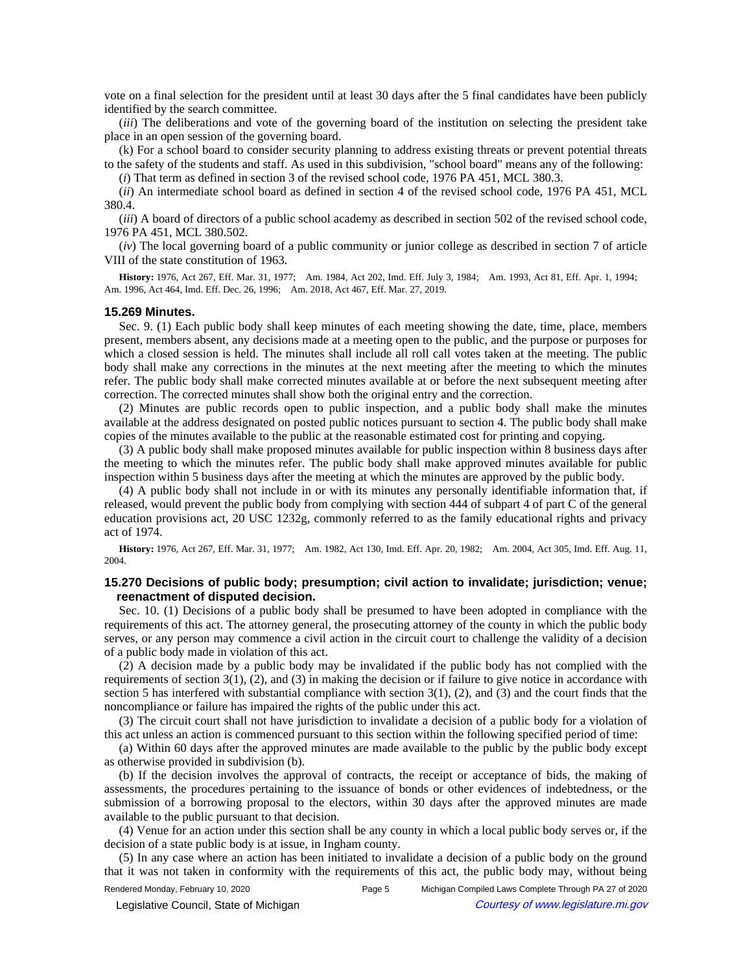vote on a final selection for the president until at least 30 days after the 5 final candidates have been publicly identified by the search committee.

(*iii*) The deliberations and vote of the governing board of the institution on selecting the president take place in an open session of the governing board.

(k) For a school board to consider security planning to address existing threats or prevent potential threats to the safety of the students and staff. As used in this subdivision, "school board" means any of the following:

(*i*) That term as defined in section 3 of the revised school code, 1976 PA 451, MCL 380.3.

(*ii*) An intermediate school board as defined in section 4 of the revised school code, 1976 PA 451, MCL 380.4.

(*iii*) A board of directors of a public school academy as described in section 502 of the revised school code, 1976 PA 451, MCL 380.502.

(*iv*) The local governing board of a public community or junior college as described in section 7 of article VIII of the state constitution of 1963.

History: 1976, Act 267, Eff. Mar. 31, 1977;--Am. 1984, Act 202, Imd. Eff. July 3, 1984;--Am. 1993, Act 81, Eff. Apr. 1, 1994;--Am. 1996, Act 464, Imd. Eff. Dec. 26, 1996;-- Am. 2018, Act 467, Eff. Mar. 27, 2019.

#### **15.269 Minutes.**

Sec. 9. (1) Each public body shall keep minutes of each meeting showing the date, time, place, members present, members absent, any decisions made at a meeting open to the public, and the purpose or purposes for which a closed session is held. The minutes shall include all roll call votes taken at the meeting. The public body shall make any corrections in the minutes at the next meeting after the meeting to which the minutes refer. The public body shall make corrected minutes available at or before the next subsequent meeting after correction. The corrected minutes shall show both the original entry and the correction.

(2) Minutes are public records open to public inspection, and a public body shall make the minutes available at the address designated on posted public notices pursuant to section 4. The public body shall make copies of the minutes available to the public at the reasonable estimated cost for printing and copying.

(3) A public body shall make proposed minutes available for public inspection within 8 business days after the meeting to which the minutes refer. The public body shall make approved minutes available for public inspection within 5 business days after the meeting at which the minutes are approved by the public body.

(4) A public body shall not include in or with its minutes any personally identifiable information that, if released, would prevent the public body from complying with section 444 of subpart 4 of part C of the general education provisions act, 20 USC 1232g, commonly referred to as the family educational rights and privacy act of 1974.

History: 1976, Act 267, Eff. Mar. 31, 1977;--Am. 1982, Act 130, Imd. Eff. Apr. 20, 1982;--Am. 2004, Act 305, Imd. Eff. Aug. 11, 2004.

# **15.270 Decisions of public body; presumption; civil action to invalidate; jurisdiction; venue; reenactment of disputed decision.**

Sec. 10. (1) Decisions of a public body shall be presumed to have been adopted in compliance with the requirements of this act. The attorney general, the prosecuting attorney of the county in which the public body serves, or any person may commence a civil action in the circuit court to challenge the validity of a decision of a public body made in violation of this act.

(2) A decision made by a public body may be invalidated if the public body has not complied with the requirements of section  $3(1)$ ,  $(2)$ , and  $(3)$  in making the decision or if failure to give notice in accordance with section 5 has interfered with substantial compliance with section  $3(1)$ ,  $(2)$ , and  $(3)$  and the court finds that the noncompliance or failure has impaired the rights of the public under this act.

(3) The circuit court shall not have jurisdiction to invalidate a decision of a public body for a violation of this act unless an action is commenced pursuant to this section within the following specified period of time:

(a) Within 60 days after the approved minutes are made available to the public by the public body except as otherwise provided in subdivision (b).

(b) If the decision involves the approval of contracts, the receipt or acceptance of bids, the making of assessments, the procedures pertaining to the issuance of bonds or other evidences of indebtedness, or the submission of a borrowing proposal to the electors, within 30 days after the approved minutes are made available to the public pursuant to that decision.

(4) Venue for an action under this section shall be any county in which a local public body serves or, if the decision of a state public body is at issue, in Ingham county.

(5) In any case where an action has been initiated to invalidate a decision of a public body on the ground that it was not taken in conformity with the requirements of this act, the public body may, without being

Rendered Monday, February 10, 2020 Page 5 Michigan Compiled Laws Complete Through PA 27 of 2020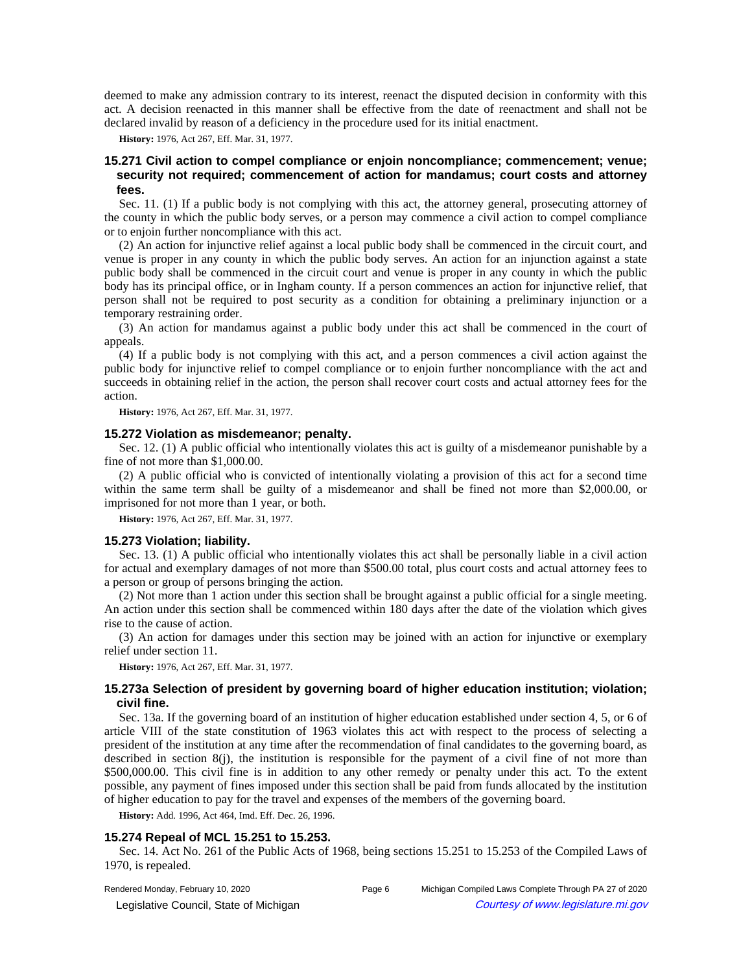deemed to make any admission contrary to its interest, reenact the disputed decision in conformity with this act. A decision reenacted in this manner shall be effective from the date of reenactment and shall not be declared invalid by reason of a deficiency in the procedure used for its initial enactment.

**History:** 1976, Act 267, Eff. Mar. 31, 1977.

# **15.271 Civil action to compel compliance or enjoin noncompliance; commencement; venue; security not required; commencement of action for mandamus; court costs and attorney fees.**

Sec. 11. (1) If a public body is not complying with this act, the attorney general, prosecuting attorney of the county in which the public body serves, or a person may commence a civil action to compel compliance or to enjoin further noncompliance with this act.

(2) An action for injunctive relief against a local public body shall be commenced in the circuit court, and venue is proper in any county in which the public body serves. An action for an injunction against a state public body shall be commenced in the circuit court and venue is proper in any county in which the public body has its principal office, or in Ingham county. If a person commences an action for injunctive relief, that person shall not be required to post security as a condition for obtaining a preliminary injunction or a temporary restraining order.

(3) An action for mandamus against a public body under this act shall be commenced in the court of appeals.

(4) If a public body is not complying with this act, and a person commences a civil action against the public body for injunctive relief to compel compliance or to enjoin further noncompliance with the act and succeeds in obtaining relief in the action, the person shall recover court costs and actual attorney fees for the action.

**History:** 1976, Act 267, Eff. Mar. 31, 1977.

#### **15.272 Violation as misdemeanor; penalty.**

Sec. 12. (1) A public official who intentionally violates this act is guilty of a misdemeanor punishable by a fine of not more than \$1,000.00.

(2) A public official who is convicted of intentionally violating a provision of this act for a second time within the same term shall be guilty of a misdemeanor and shall be fined not more than \$2,000.00, or imprisoned for not more than 1 year, or both.

**History:** 1976, Act 267, Eff. Mar. 31, 1977.

#### **15.273 Violation; liability.**

Sec. 13. (1) A public official who intentionally violates this act shall be personally liable in a civil action for actual and exemplary damages of not more than \$500.00 total, plus court costs and actual attorney fees to a person or group of persons bringing the action.

(2) Not more than 1 action under this section shall be brought against a public official for a single meeting. An action under this section shall be commenced within 180 days after the date of the violation which gives rise to the cause of action.

(3) An action for damages under this section may be joined with an action for injunctive or exemplary relief under section 11.

**History:** 1976, Act 267, Eff. Mar. 31, 1977.

## **15.273a Selection of president by governing board of higher education institution; violation; civil fine.**

Sec. 13a. If the governing board of an institution of higher education established under section 4, 5, or 6 of article VIII of the state constitution of 1963 violates this act with respect to the process of selecting a president of the institution at any time after the recommendation of final candidates to the governing board, as described in section  $8(i)$ , the institution is responsible for the payment of a civil fine of not more than \$500,000.00. This civil fine is in addition to any other remedy or penalty under this act. To the extent possible, any payment of fines imposed under this section shall be paid from funds allocated by the institution of higher education to pay for the travel and expenses of the members of the governing board.

**History:** Add. 1996, Act 464, Imd. Eff. Dec. 26, 1996.

## **15.274 Repeal of MCL 15.251 to 15.253.**

Sec. 14. Act No. 261 of the Public Acts of 1968, being sections 15.251 to 15.253 of the Compiled Laws of 1970, is repealed.

Rendered Monday, February 10, 2020 Page 6 Michigan Compiled Laws Complete Through PA 27 of 2020